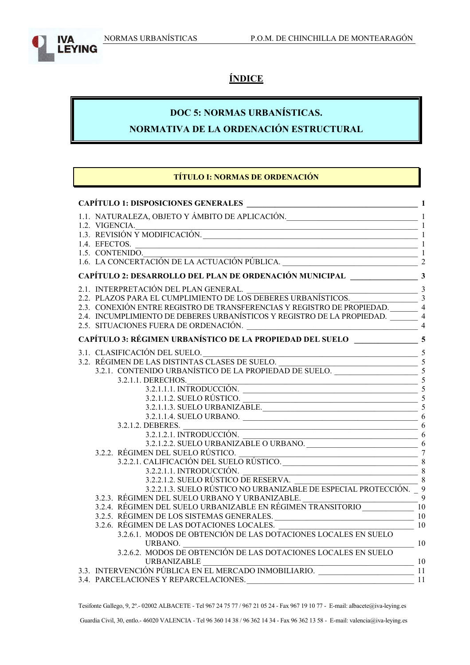IVΑ

**EYING** 



# **DOC 5: NORMAS URBANÍSTICAS.**

**NORMATIVA DE LA ORDENACIÓN ESTRUCTURAL**

#### **TÍTULO I: NORMAS DE ORDENACIÓN**

| 1.1. NATURALEZA, OBJETO Y ÁMBITO DE APLICACIÓN.<br>1                                                                                                                                                                 |                          |
|----------------------------------------------------------------------------------------------------------------------------------------------------------------------------------------------------------------------|--------------------------|
| 1.2. VIGENCIA.<br>1.3. REVISIÓN Y MODIFICACIÓN.<br>1.4. EEECTOS                                                                                                                                                      |                          |
|                                                                                                                                                                                                                      |                          |
|                                                                                                                                                                                                                      |                          |
| 1.4. EFECTOS.<br>1.5. CONTENIDO.<br>1.6. LA CONCERTACIÓN DE LA ACTUACIÓN PÚBLICA.                                                                                                                                    |                          |
|                                                                                                                                                                                                                      |                          |
|                                                                                                                                                                                                                      |                          |
| 2.2. PLAZOS PARA EL CUMPLIMIENTO DE LOS DEBERES URBANÍSTICOS.<br>2.3. CONEXIÓN ENTRE REGISTRO DE TRANSFERENCIAS Y REGISTRO DE PROPIEDAD.<br>2.4. INCUMPLIMIENTO DE DEBERES URBANÍSTICOS Y REGISTRO DE 1 A DROBIEDAD. |                          |
|                                                                                                                                                                                                                      |                          |
|                                                                                                                                                                                                                      |                          |
|                                                                                                                                                                                                                      |                          |
|                                                                                                                                                                                                                      | $\overline{\mathcal{A}}$ |
| CAPÍTULO 3: RÉGIMEN URBANÍSTICO DE LA PROPIEDAD DEL SUELO _____________________5                                                                                                                                     |                          |
| 3.1. CLASIFICACIÓN DEL SUELO.<br>3.2. RÉGIMEN DE LAS DISTINTAS CLASES DE SUELO.<br>3.2.1. CONTENIDO URBANÍSTICO DE LA PROPIEDAD DE SUELO.<br>3.2.1. DERECHOS                                                         |                          |
|                                                                                                                                                                                                                      |                          |
|                                                                                                                                                                                                                      |                          |
| DERECHOS.<br>3.2.1.1.1. INTRODUCCIÓN.<br>3.2.1.1.2. SUELO RISTICO<br>3.2.1.1. DERECHOS.                                                                                                                              |                          |
|                                                                                                                                                                                                                      |                          |
| 3.2.1.1.2. SUELO RÚSTICO.<br>3.2.1.1.3. SUELO URBANIZABLE.                                                                                                                                                           |                          |
|                                                                                                                                                                                                                      |                          |
| 3.2.1.1.4. SUELO URBANO. 6                                                                                                                                                                                           |                          |
| $\frac{1}{1}$ 6<br>3.2.1.2. DEBERES.                                                                                                                                                                                 |                          |
| 3.2.1.2.1. IN I RODUCCION.<br>3.2.1.2.2. SUELO URBANIZABLE O URBANO.<br>EN DEL SUELO RÚSTICO                                                                                                                         |                          |
|                                                                                                                                                                                                                      |                          |
| 3.2.2. RÉGIMEN DEL SUELO RÚSTICO.<br>3.2.2.1. CALIFICACIÓN DEL SUELO RÚSTICO.                                                                                                                                        |                          |
|                                                                                                                                                                                                                      |                          |
| 3.2.2.1.2. SUELO RÚSTICO DE RESERVA.<br>3.2.2.1.3. SUELO RÚSTICO DE RESERVA.                                                                                                                                         |                          |
| 3.2.2.1.3. SUELO RÚSTICO NO URBANIZABLE DE ESPECIAL PROTECCIÓN. 9                                                                                                                                                    |                          |
| 3.2.3. RÉGIMEN DEL SUELO URBANO Y URBANIZABLE.<br>$\frac{1}{10000}$                                                                                                                                                  |                          |
| 3.2.4. RÉGIMEN DEL SUELO URBANIZABLE EN RÉGIMEN TRANSITORIO _____________________                                                                                                                                    |                          |
| 3.2.5. RÉGIMEN DE LOS SISTEMAS GENERALES.<br>$\sim$ 10                                                                                                                                                               |                          |
| $\frac{10}{10}$<br>3.2.6. RÉGIMEN DE LAS DOTACIONES LOCALES.                                                                                                                                                         |                          |
| 3.2.6.1. MODOS DE OBTENCIÓN DE LAS DOTACIONES LOCALES EN SUELO                                                                                                                                                       |                          |
| $\frac{10}{2}$<br>URBANO.                                                                                                                                                                                            |                          |
| 3.2.6.2. MODOS DE OBTENCIÓN DE LAS DOTACIONES LOCALES EN SUELO                                                                                                                                                       |                          |
| <b>URBANIZABLE</b><br>$\frac{10}{10}$                                                                                                                                                                                |                          |
| 3.3. INTERVENCIÓN PÚBLICA EN EL MERCADO INMOBILIARIO.                                                                                                                                                                |                          |
| $\sim$ 11<br>3.4. PARCELACIONES Y REPARCELACIONES.                                                                                                                                                                   |                          |

Tesifonte Gallego, 9, 2º.- 02002 ALBACETE - Tel 967 24 75 77 / 967 21 05 24 - Fax 967 19 10 77 - E-mail: albacete@iva-leying.es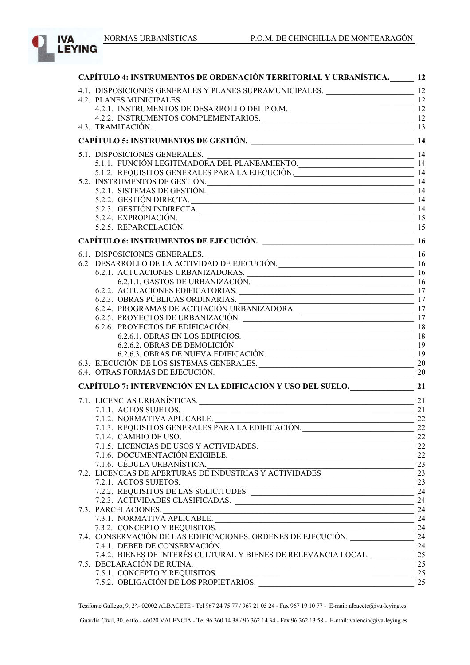

| CAPÍTULO 4: INSTRUMENTOS DE ORDENACIÓN TERRITORIAL Y URBANÍSTICA. 12                                                |          |
|---------------------------------------------------------------------------------------------------------------------|----------|
| 4.1. DISPOSICIONES GENERALES Y PLANES SUPRAMUNICIPALES. ________________________ 12                                 |          |
|                                                                                                                     |          |
| 4.2. PLANES MUNICIPALES.<br>4.2.1. INSTRUMENTOS DE DESARROLLO DEL P.O.M.                                            |          |
|                                                                                                                     |          |
|                                                                                                                     |          |
|                                                                                                                     |          |
|                                                                                                                     |          |
| 5.1. DISPOSICIONES GENERALES.<br>5.1.1. FUNCIÓN LEGITIMADORA DEL PLANEAMIENTO.<br>14                                |          |
| 5.1.2. REQUISITOS GENERALES PARA LA EJECUCIÓN. 14                                                                   |          |
| 5.2. INSTRUMENTOS DE GESTIÓN.                                                                                       |          |
| 5.2.1. SISTEMAS DE GESTIÓN.                                                                                         | 14       |
| 5.2.2. GESTIÓN DIRECTA. 14                                                                                          |          |
|                                                                                                                     |          |
| 5.2.4. EXPROPIACIÓN.                                                                                                | 15       |
| 5.2.5. REPARCELACIÓN. 15                                                                                            |          |
|                                                                                                                     |          |
| 6.1. DISPOSICIONES GENERALES.<br>6.2 DESARROLLO DE LA ACTIVIDAD DE EJECUCIÓN.<br>16                                 |          |
|                                                                                                                     |          |
|                                                                                                                     |          |
| 6.2.1.1. GASTOS DE URBANIZACIÓN.<br>2015 - 16                                                                       |          |
| 6.2.2. ACTUACIONES EDIFICATORIAS. 17                                                                                |          |
| 6.2.3. OBRAS PÚBLICAS ORDINARIAS.<br>6.2.4. PROGRAMAS DE ACTUACIÓN URBANIZADORA.                                    |          |
|                                                                                                                     |          |
|                                                                                                                     |          |
| 6.2.6. PROYECTOS DE EDIFICACIÓN.<br>6.2.6.1. OBRAS EN LOS EDIFICIOS.                                                |          |
|                                                                                                                     |          |
| 6.2.6.2. OBRAS DE DEMOLICIÓN.<br>6.2.6.3. OBRAS DE NUEVA EDIFICACIÓN.                                               | 19<br>19 |
| $6.3.~EJECUCIÓN DE LOS SISTEMAS GENERALES. \underline{\hspace{2cm}} 20$                                             |          |
| 6.4. OTRAS FORMAS DE EJECUCIÓN.<br>20                                                                               |          |
| CAPÍTULO 7: INTERVENCIÓN EN LA EDIFICACIÓN Y USO DEL SUELO. 21                                                      |          |
|                                                                                                                     |          |
| 7.1. LICENCIAS URBANÍSTICAS. 21                                                                                     |          |
|                                                                                                                     |          |
| 7.1.2. NORMATIVA APLICABLE.<br>7.1.3. REQUISITOS GENERALES PARA LA EDIFICACIÓN.<br>22                               |          |
|                                                                                                                     |          |
| 7.1.5. LICENCIAS DE USOS Y ACTIVIDADES.<br>7.1.5. LICENCIAS DE USOS Y ACTIVIDADES.<br>7.1.6. DOCUMENTACIÓN EXIGIBLE |          |
|                                                                                                                     |          |
| 7.1.6. DOCUMENTACIÓN EXIGIBLE.<br>7.1.6. CÉDULA URBANÍSTICA.                                                        | 23       |
|                                                                                                                     |          |
|                                                                                                                     |          |
| 7.2.1. ACTOS SUJETOS.<br>7.2.2. REQUISITOS DE LAS SOLICITUDES.<br>7.2.3. ACTIVIDADES CLASIFICADAS                   |          |
|                                                                                                                     |          |
| 7.3. PARCELACIONES. 24                                                                                              |          |
|                                                                                                                     |          |
|                                                                                                                     |          |
|                                                                                                                     |          |
|                                                                                                                     |          |
| 7.4.1. DEBER DE CONSERVACIÓN.<br>7.4.2. BIENES DE INTERÉS CULTURAL Y BIENES DE RELEVANCIA LOCAL.                    | 25       |
| 7.5. DECLARACIÓN DE RUINA.                                                                                          | 25       |
|                                                                                                                     |          |
|                                                                                                                     |          |
|                                                                                                                     |          |

Tesifonte Gallego, 9, 2º.- 02002 ALBACETE - Tel 967 24 75 77 / 967 21 05 24 - Fax 967 19 10 77 - E-mail: albacete@iva-leying.es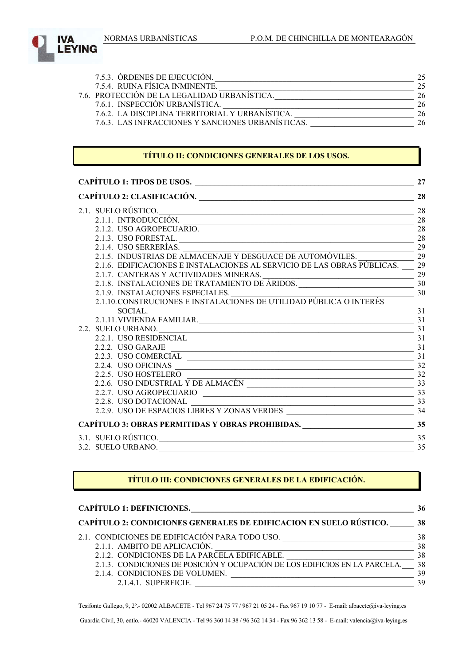

| 7.5.3. ORDENES DE EJECUCIÓN.                      | 25 |
|---------------------------------------------------|----|
| 7.5.4. RUINA FÍSICA INMINENTE.                    | 25 |
| 7.6. PROTECCIÓN DE LA LEGALIDAD URBANÍSTICA.      | 26 |
| 7.6.1. INSPECCIÓN URBANÍSTICA.                    | 26 |
| 7.6.2. LA DISCIPLINA TERRITORIAL Y URBANISTICA.   | 26 |
| 7.6.3. LAS INFRACCIONES Y SANCIONES URBANÍSTICAS. | 26 |

### **TÍTULO II: CONDICIONES GENERALES DE LOS USOS.**

| <b>CAPÍTULO 1: TIPOS DE USOS.</b><br><u> 1989 - Johann Barbara, martin da basar a shekara 1989 - An tsara 1989 - An tsara 1989 - An tsara 1989 - An tsa</u> | 27    |
|-------------------------------------------------------------------------------------------------------------------------------------------------------------|-------|
|                                                                                                                                                             | 28    |
| 2.1. SUELO RÚSTICO.                                                                                                                                         | 28    |
|                                                                                                                                                             |       |
| $2.1.2.$ USO AGROPECUARIO.                                                                                                                                  | 28    |
|                                                                                                                                                             |       |
| 2.1.4. USO SERRERÍAS.                                                                                                                                       | 29    |
| 2.1.4. USO SERRERIAS.<br>2.1.5. INDUSTRIAS DE ALMACENAJE Y DESGUACE DE AUTOMÓVILES.                                                                         |       |
| 2.1.6. EDIFICACIONES E INSTALACIONES AL SERVICIO DE LAS OBRAS PÚBLICAS. 29                                                                                  |       |
|                                                                                                                                                             |       |
|                                                                                                                                                             |       |
| 2.1.9. INSTALACIONES ESPECIALES.<br>2.1.10.CONSTRUCIONES E INSTALACIONES DE UTILIDAD PÚBLICA O INTERÉS                                                      |       |
|                                                                                                                                                             |       |
| $\frac{\text{SOCIAL.}}{2.1.11.\text{VIVIENDA FAMILIAR.}}$ $\frac{31}{31}$                                                                                   |       |
|                                                                                                                                                             |       |
|                                                                                                                                                             |       |
| 2.2.1. USO RESIDENCIAL                                                                                                                                      | 31    |
|                                                                                                                                                             |       |
|                                                                                                                                                             |       |
|                                                                                                                                                             |       |
|                                                                                                                                                             |       |
|                                                                                                                                                             |       |
|                                                                                                                                                             |       |
| 2.2.8. USO DOTACIONAL                                                                                                                                       | $-33$ |
|                                                                                                                                                             |       |
| CAPÍTULO 3: OBRAS PERMITIDAS Y OBRAS PROHIBIDAS. 35                                                                                                         |       |
| 3.1. SUELO RÚSTICO.                                                                                                                                         | 35    |
| 3.2. SUELO URBANO.                                                                                                                                          | 35    |

#### **TÍTULO III: CONDICIONES GENERALES DE LA EDIFICACIÓN.**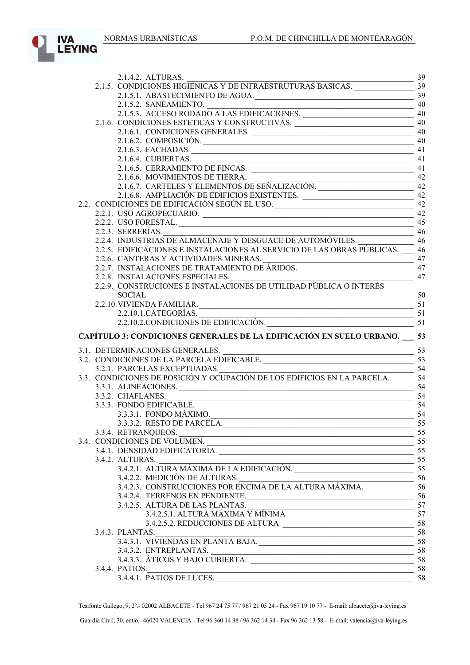

| 2.1.5.1. ABASTECIMIENTO DE AGUA. $\frac{39}{21.50}$                                                                         |                         |
|-----------------------------------------------------------------------------------------------------------------------------|-------------------------|
|                                                                                                                             |                         |
|                                                                                                                             |                         |
| 2.1.5.2. SANEAMIENTO.<br>2.1.5.3. ACCESO RODADO A LAS EDIFICACIONES.<br>2.1.6. CONDICIONES ESTETICAS Y CONSTRUCTIVAS.<br>40 |                         |
| 2.1.6.1. CONDICIONES GENERALES. 40                                                                                          |                         |
|                                                                                                                             | 40                      |
| 2.1.6.2. COMPOSICIÓN.                                                                                                       | 41                      |
| 2.1.6.3. FACHADAS.                                                                                                          |                         |
| 2.1.6.4. CUBIERTAS. 41<br>2.1.6.5. CERRAMIENTO DE FINCAS. 41                                                                |                         |
|                                                                                                                             |                         |
|                                                                                                                             |                         |
|                                                                                                                             |                         |
|                                                                                                                             |                         |
| 2.2. CONDICIONES DE EDIFICACIÓN SEGÚN EL USO. ___________________________________ 42                                        |                         |
|                                                                                                                             |                         |
| 2.2.1. USO AGROPECUARIO. 42.2.2. USO FORESTAL.                                                                              |                         |
| 2.2.3. SERRERÍAS.<br>2.2.4. INDUSTRIAS DE ALMACENAJE Y DESGUACE DE AUTOMÓVILES.<br>46                                       |                         |
|                                                                                                                             |                         |
| 2.2.5. EDIFICACIONES E INSTALACIONES AL SERVICIO DE LAS OBRAS PÚBLICAS. 46                                                  |                         |
|                                                                                                                             |                         |
| 2.2.0. CANTERAS Y ACTIVIDADES MINERAS.<br>2.2.7. INSTALACIONES DE TRATAMIENTO DE ÁRIDOS.<br>2.2.8. INSTALACIONES ESPECIALES |                         |
|                                                                                                                             | 47                      |
| 2.2.8. INSTALACIONES ESPECIALES.<br>2.2.9. CONSTRUCIONES E INSTALACIONES DE UTILIDAD PÚBLICA O INTERÉS                      |                         |
|                                                                                                                             |                         |
| SOCIAL.<br>2.2.10. VIVIENDA FAMILIAR.<br>$\frac{50}{51}$                                                                    |                         |
|                                                                                                                             |                         |
|                                                                                                                             |                         |
|                                                                                                                             |                         |
| 2.2.10.1.CATEGORÍAS.<br>2.2.10.2.CONDICIONES DE EDIFICACIÓN.<br>51                                                          |                         |
| CAPÍTULO 3: CONDICIONES GENERALES DE LA EDIFICACIÓN EN SUELO URBANO. 53                                                     |                         |
|                                                                                                                             |                         |
|                                                                                                                             |                         |
|                                                                                                                             |                         |
|                                                                                                                             | $\frac{1}{\sqrt{2}}$ 54 |
| 3.2.1. PARCELAS EXCEPTUADAS.<br>3.3. CONDICIONES DE POSICIÓN Y OCUPACIÓN DE LOS EDIFICIOS EN LA PARCELA.<br>54              |                         |
|                                                                                                                             |                         |
| 3.3.2. CHAFLANES.<br>$\frac{1}{2}$ 54                                                                                       |                         |
| 3.3.3. FONDO EDIFICABLE.                                                                                                    | -54                     |
| 3.3.3.1. FONDO MÁXIMO.                                                                                                      |                         |
| 3.3.3.2. RESTO DE PARCELA. 55                                                                                               |                         |
|                                                                                                                             |                         |
|                                                                                                                             |                         |
| 3.4. CONDICIONES DE VOLUMEN.                                                                                                |                         |
| 3.4.2. ALTURAS.                                                                                                             |                         |
|                                                                                                                             |                         |
|                                                                                                                             |                         |
| 3.4.2.1. ALTURA MÁXIMA DE LA EDIFICACIÓN.<br>3.4.2.2. MEDICIÓN DE ALTURAS<br>3.4.2.2. MEDICIÓN DE ALTURAS.                  |                         |
|                                                                                                                             |                         |
| 3.4.2.4. TERRENOS EN PENDIENTE. 56                                                                                          |                         |
| 3.4.2.5. ALTURA DE LAS PLANTAS.                                                                                             |                         |
| ALIUKA DE LAS PLANTAS.<br>3.4.2.5.1. ALTURA MÁXIMA Y MÍNIMA<br>3.4.2.5.2. BEDIICCIONES DE ALTURA                            |                         |
|                                                                                                                             |                         |
|                                                                                                                             |                         |
| 3.4.3. PLANTAS.<br>$3.4.3.1$ . VIVIENDAS EN PLANTA BAJA.<br>$58$<br>$58$                                                    |                         |
|                                                                                                                             |                         |
|                                                                                                                             |                         |
| 3.4.4. PATIOS.<br>58<br>3.4.4.1. PATIOS DE LUCES.                                                                           |                         |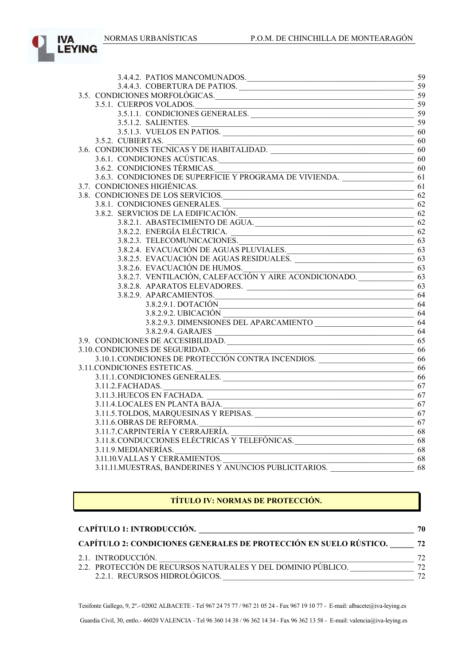

| 3.4.4.2. PATIOS MANCOMUNADOS. 59                                                                                    |    |
|---------------------------------------------------------------------------------------------------------------------|----|
|                                                                                                                     |    |
| 3.5. CONDICIONES MORFOLÓGICAS.<br>59                                                                                |    |
| 3.5.1. CUERPOS VOLADOS.<br>3.5.1.1. CONDICIONES GENERALES.<br>3.5.1.1. CONDICIONES GENERALES.<br>3.5.1.2. SALIENTES |    |
|                                                                                                                     |    |
|                                                                                                                     |    |
| 3.5.1.2. SALIENTES.<br>$3.5.1.3.$ VUELOS EN PATIOS. 60                                                              |    |
| 3.6. CONDICIONES TECNICAS Y DE HABITALIDAD. 60<br>3.6.1. CONDICIONES ACÚSTICAS                                      |    |
|                                                                                                                     |    |
| 3.6.1. CONDICIONES ACÚSTICAS. 60                                                                                    |    |
|                                                                                                                     |    |
|                                                                                                                     |    |
| 3.7. CONDICIONES HIGIÉNICAS.<br>$\overline{\phantom{a}}$ 61                                                         |    |
| 3.8. CONDICIONES DE LOS SERVICIOS.                                                                                  | 62 |
|                                                                                                                     |    |
| 3.8.1. CONDICIONES GENERALES.<br>3.8.2. SERVICIOS DE LA EDIFICACIÓN.<br>3.8.2.1. ABASTECIMIENTO DE AGUA.<br>62      |    |
|                                                                                                                     |    |
|                                                                                                                     |    |
| 3.8.2.3. TELECOMUNICACIONES.                                                                                        |    |
| 3.8.2.4. EVACUACIÓN DE AGUAS PLUVIALES.                                                                             |    |
| 3.8.2.5. EVACUACIÓN DE AGUAS RESIDUALES. 63                                                                         |    |
|                                                                                                                     |    |
|                                                                                                                     |    |
|                                                                                                                     |    |
| 3.8.2.9. APARCAMIENTOS. 64                                                                                          |    |
| 3.8.2.9.1. DOTACIÓN 64                                                                                              |    |
| 3.8.2.9.2. UBICACIÓN                                                                                                |    |
|                                                                                                                     |    |
| 3.9. CONDICIONES DE ACCESIBILIDAD.<br>$\frac{3.8.2.9.4. \text{ GARAJES}}{65}$                                       |    |
|                                                                                                                     |    |
| 3.10. CONDICIONES DE SEGURIDAD.<br>3.10.1.CONDICIONES DE PROTECCIÓN CONTRA INCENDIOS.<br>CONDICIONES ESTETICAS.     |    |
|                                                                                                                     |    |
| 3.11.CONDICIONES ESTETICAS.<br>3.11.1.CONDICIONES GENERALES.                                                        |    |
|                                                                                                                     |    |
| 3.11.2. FACHADAS.<br>$\sim$ 67                                                                                      |    |
| 3.11.3. HUECOS EN FACHADA. 67                                                                                       |    |
| 3.11.4. LOCALES EN PLANTA BAJA.<br>3.11.5. TOLDOS, MARQUESINAS Y REPISAS. 67                                        |    |
|                                                                                                                     |    |
| 3.11.6. OBRAS DE REFORMA. 67                                                                                        |    |
| 3.11.7. CARPINTERÍA Y CERRAJERÍA.<br>$\frac{1}{\sqrt{10}}$                                                          |    |
| 3.11.8. CONDUCCIONES ELÉCTRICAS Y TELEFÓNICAS. 68                                                                   |    |
| 3.11.9. MEDIANERÍAS.<br>$\overline{\text{PFTG}}$ 68                                                                 |    |
| 3.11.10.VALLAS Y CERRAMIENTOS.<br>3.11.11.MUESTRAS, BANDERINES Y ANUNCIOS PUBLICITARIOS.                            |    |
|                                                                                                                     |    |

## **TÍTULO IV: NORMAS DE PROTECCIÓN.**

| <b>CAPÍTULO 1: INTRODUCCIÓN.</b>                                  | 70 |
|-------------------------------------------------------------------|----|
| CAPÍTULO 2: CONDICIONES GENERALES DE PROTECCIÓN EN SUELO RÚSTICO. | 72 |
| 2.1. INTRODUCCIÓN.                                                | 72 |
| 2.2. PROTECCIÓN DE RECURSOS NATURALES Y DEL DOMINIO PÚBLICO.      | 72 |
| 2.2.1. RECURSOS HIDROLÓGICOS.                                     | 72 |

Tesifonte Gallego, 9, 2º.- 02002 ALBACETE - Tel 967 24 75 77 / 967 21 05 24 - Fax 967 19 10 77 - E-mail: albacete@iva-leying.es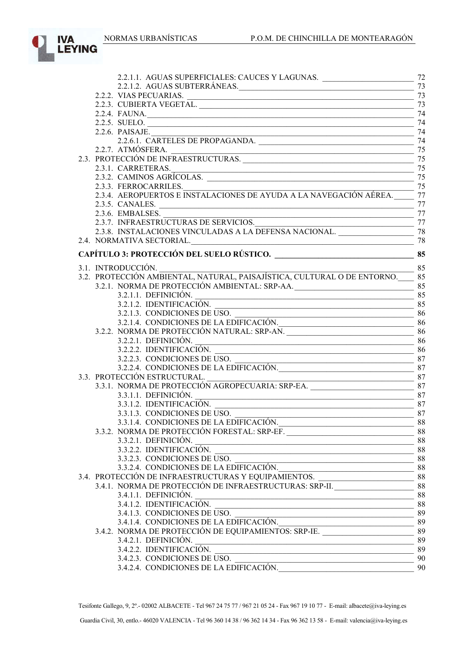

|  | 2.2.1.1. AGUAS SUPERFICIALES: CAUCES Y LAGUNAS. ________________________________                                                                                                                                                      | 72 |
|--|---------------------------------------------------------------------------------------------------------------------------------------------------------------------------------------------------------------------------------------|----|
|  | 2.2.1.2. AGUAS SUBTERRÁNEAS. 73                                                                                                                                                                                                       |    |
|  |                                                                                                                                                                                                                                       |    |
|  |                                                                                                                                                                                                                                       |    |
|  | 2.2.4. FAUNA.                                                                                                                                                                                                                         | 74 |
|  | 2.2.5. SUELO.                                                                                                                                                                                                                         | 74 |
|  | 2.2.6. PAISAJE.<br>2.2.6.1. CARTELES DE PROPAGANDA.                                                                                                                                                                                   |    |
|  |                                                                                                                                                                                                                                       |    |
|  |                                                                                                                                                                                                                                       |    |
|  | 2.2.7. ATMÓSFERA. 75<br>2.3. PROTECCIÓN DE INFRAESTRUCTURAS. 75                                                                                                                                                                       |    |
|  |                                                                                                                                                                                                                                       |    |
|  | 2.3.1. CARRETERAS. 75<br>2.3.2. CAMINOS AGRÍCOLAS. 75                                                                                                                                                                                 |    |
|  |                                                                                                                                                                                                                                       |    |
|  | 2.3.3. FERROCARRILES.<br>2.3.4. AEROPUERTOS E INSTALACIONES DE AYUDA A LA NAVEGACIÓN AÉREA.<br>77                                                                                                                                     |    |
|  | 2.3.5. CANALES.                                                                                                                                                                                                                       | 77 |
|  |                                                                                                                                                                                                                                       |    |
|  | 2.3.6. EMBALSES.<br>2.3.7. INFRAESTRUCTURAS DE SERVICIOS.<br>2.3.8. INSTALACIONES VINCULADAS A LA DEFENSA NACIONAL.<br>28                                                                                                             |    |
|  |                                                                                                                                                                                                                                       |    |
|  |                                                                                                                                                                                                                                       |    |
|  |                                                                                                                                                                                                                                       |    |
|  |                                                                                                                                                                                                                                       |    |
|  | $\frac{100}{100}$ 85<br>3.1. INTRODUCCIÓN.                                                                                                                                                                                            |    |
|  | 3.2. PROTECCIÓN AMBIENTAL, NATURAL, PAISAJÍSTICA, CULTURAL O DE ENTORNO.____ 85                                                                                                                                                       |    |
|  |                                                                                                                                                                                                                                       |    |
|  | $3.2.1.1$ . DEFINICIÓN.                                                                                                                                                                                                               |    |
|  |                                                                                                                                                                                                                                       |    |
|  | $\frac{1}{1}$ 86                                                                                                                                                                                                                      |    |
|  | 3.2.1.4. CONDICIONES DE LA EDIFICACIÓN. 86                                                                                                                                                                                            |    |
|  | 3.2.2. NORMA DE PROTECCIÓN NATURAL: SRP-AN.                                                                                                                                                                                           |    |
|  |                                                                                                                                                                                                                                       |    |
|  |                                                                                                                                                                                                                                       |    |
|  | 3.2.2.3. CONDICIONES DE USO.                                                                                                                                                                                                          |    |
|  |                                                                                                                                                                                                                                       |    |
|  | 3.3. PROTECCIÓN ESTRUCTURAL.                                                                                                                                                                                                          |    |
|  |                                                                                                                                                                                                                                       |    |
|  | 3.3.1.1. DEFINICIÓN.                                                                                                                                                                                                                  | 87 |
|  |                                                                                                                                                                                                                                       |    |
|  | 3.3.1.2. IDENTIFICACIÓN. 3.3.1.3. CONDICIONES DE USO.                                                                                                                                                                                 |    |
|  | 3.3.1.4. CONDICIONES DE LA EDIFICACIÓN.                                                                                                                                                                                               | 88 |
|  | 3.3.2. NORMA DE PROTECCIÓN FORESTAL: SRP-EF.                                                                                                                                                                                          |    |
|  | 3.3.2.1. DEFINICIÓN.<br>$\frac{1}{2}$ 88                                                                                                                                                                                              |    |
|  | 3.3.2.2. IDENTIFICACIÓN. 588                                                                                                                                                                                                          |    |
|  | 3.3.2.3. CONDICIONES DE USO.<br>3.3.2.4. CONDICIONES DE LA EDIFICACIÓN.<br>3.4. PROTECCIÓN DE INFRAESTRUCTURAS Y EQUIPAMIENTOS.<br>3.4. PROTECCIÓN DE INFRAESTRUCTURAS Y EQUIPAMIENTOS.<br>3.4. PROTECCIÓN DE INFRAESTRUCTURA E ENTRA |    |
|  |                                                                                                                                                                                                                                       |    |
|  |                                                                                                                                                                                                                                       |    |
|  |                                                                                                                                                                                                                                       |    |
|  | $\frac{88}{100}$<br>3.4.1.1. DEFINICIÓN.                                                                                                                                                                                              |    |
|  |                                                                                                                                                                                                                                       |    |
|  |                                                                                                                                                                                                                                       |    |
|  | 3.4.1.2. IDENTIFICACIÓN.<br>3.4.1.3. CONDICIONES DE USO.<br>3.4.1.4. CONDICIONES DE LA EDIFICACIÓN.<br>3.4.2. NORMA DE PROTECCIÓN DE EQUIPAMIENTOS: SRP-IE.<br>89                                                                     |    |
|  |                                                                                                                                                                                                                                       |    |
|  | $3.4.2.1.$ DEFINICIÓN. $\frac{1}{2}$                                                                                                                                                                                                  | 89 |
|  | 3.4.2.2. IDENTIFICACIÓN.<br><u> 1989 - Johann Stoff, deutscher Stoffen und der Stoffen und der Stoffen und der Stoffen und der Stoffen und der</u>                                                                                    | 89 |
|  |                                                                                                                                                                                                                                       |    |
|  | 3.4.2.3. CONDICIONES DE USO.<br>3.4.2.4. CONDICIONES DE LA EDIFICACIÓN.                                                                                                                                                               |    |
|  |                                                                                                                                                                                                                                       |    |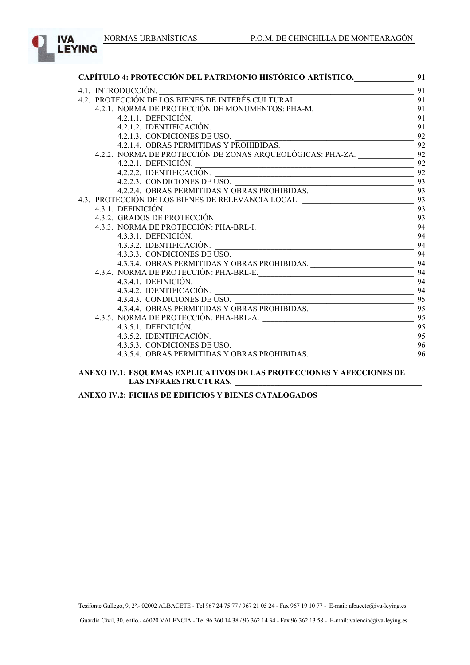

| CAPÍTULO 4: PROTECCIÓN DEL PATRIMONIO HISTÓRICO-ARTÍSTICO. 91                                                                                                     |    |
|-------------------------------------------------------------------------------------------------------------------------------------------------------------------|----|
| 4.1. INTRODUCCIÓN.                                                                                                                                                | 91 |
|                                                                                                                                                                   |    |
|                                                                                                                                                                   |    |
| $4.2.1.1.$ DEFINICIÓN.                                                                                                                                            | 91 |
| 4.2.1.2. IDENTIFICACIÓN.<br>4.2.1.3. CONDICIONES DE USO.<br>4.2.1.4. OBRAS PERMITIDAS Y PROHIBIDAS.<br>4.2.2. NORMA DE PROTECCIÓN DE ZONAS ARQUEOLÓGICAS: PHA-ZA. |    |
|                                                                                                                                                                   |    |
|                                                                                                                                                                   |    |
|                                                                                                                                                                   |    |
|                                                                                                                                                                   |    |
| 4.2.2.2. IDENTIFICACIÓN.<br>4.2.2.3. CONDICIONES DE USO.                                                                                                          | 92 |
| 4.2.2.4. OBRAS PERMITIDAS Y OBRAS PROHIBIDAS.<br>ECCIÓN DE LOS BIENES DE RELEVANCIA LOCAL                                                                         |    |
|                                                                                                                                                                   |    |
|                                                                                                                                                                   |    |
|                                                                                                                                                                   | 93 |
|                                                                                                                                                                   |    |
|                                                                                                                                                                   |    |
|                                                                                                                                                                   | 94 |
| 4.3.3.1. DEFINICIÓN.<br>4.3.3.2. IDENTIFICACIÓN.                                                                                                                  | 94 |
| 4.3.3.4. OBRAS PERMITIDAS Y OBRAS PROHIBIDAS.<br>NORMA DE PROTECCIÓN: PHA-BRI.-E                                                                                  |    |
|                                                                                                                                                                   |    |
| 4.3.4. NORMA DE PROTECCIÓN: PHA-BRL-E. 94                                                                                                                         |    |
|                                                                                                                                                                   |    |
|                                                                                                                                                                   |    |
|                                                                                                                                                                   |    |
|                                                                                                                                                                   |    |
|                                                                                                                                                                   |    |
| 4.3.5.1. DEFINICIÓN.                                                                                                                                              | 95 |
|                                                                                                                                                                   |    |
| 4.3.5.3. CONDICIONES DE USO.<br>4.3.5.4. OBRAS PERMITIDAS Y OBRAS PROHIBIDAS. 96                                                                                  |    |
|                                                                                                                                                                   |    |

#### **ANEXO IV.1: ESQUEMAS EXPLICATIVOS DE LAS PROTECCIONES Y AFECCIONES DE LAS INFRAESTRUCTURAS. \_\_\_\_\_\_\_\_\_\_\_\_\_\_\_\_\_\_\_\_\_\_\_\_\_\_\_\_\_\_\_\_\_\_\_\_\_\_\_\_\_\_\_\_\_\_\_**

**ANEXO IV.2: FICHAS DE EDIFICIOS Y BIENES CATALOGADOS \_\_\_\_\_\_\_\_\_\_\_\_\_\_\_\_\_\_\_\_\_\_\_\_\_\_**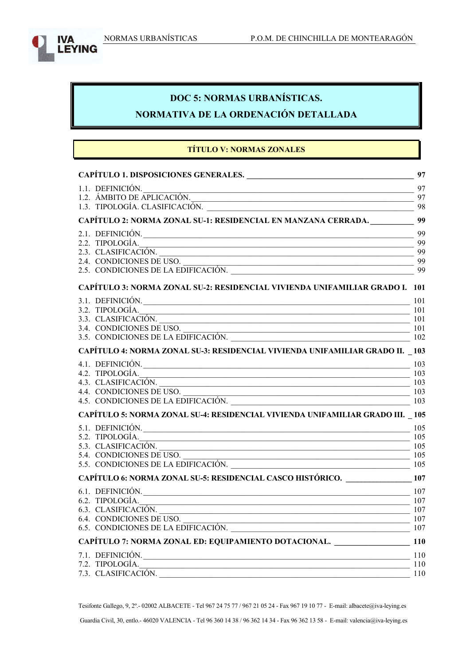

# **DOC 5: NORMAS URBANÍSTICAS.**

# **NORMATIVA DE LA ORDENACIÓN DETALLADA**

# **TÍTULO V: NORMAS ZONALES**

|                                                                                                                                                  | 97  |
|--------------------------------------------------------------------------------------------------------------------------------------------------|-----|
|                                                                                                                                                  |     |
| 1.1. DEFINICION.<br>1.2. ÁMBITO DE APLICACIÓN.<br>1.3. TIPOLOGÍA CLASIFICACIÓN.                                                                  |     |
| 1.3. TIPOLOGÍA. CLASIFICACIÓN.                                                                                                                   | 98  |
| CAPÍTULO 2: NORMA ZONAL SU-1: RESIDENCIAL EN MANZANA CERRADA. 99                                                                                 |     |
| 2.1. DEFINICIÓN.                                                                                                                                 | 99  |
| 2.2. TIPOLOGÍA.                                                                                                                                  | -99 |
|                                                                                                                                                  |     |
|                                                                                                                                                  | 99  |
| 2.4. CONDICIONES DE USO.<br>2.5. CONDICIONES DE LA EDIFICACIÓN.                                                                                  | 99  |
| <b>CAPÍTULO 3: NORMA ZONAL SU-2: RESIDENCIAL VIVIENDA UNIFAMILIAR GRADO I. 101</b>                                                               |     |
| 3.1. DEFINICIÓN.                                                                                                                                 | 101 |
|                                                                                                                                                  |     |
|                                                                                                                                                  |     |
|                                                                                                                                                  |     |
| 3.2. TIPOLOGÍA.<br>3.3. CLASIFICACIÓN.<br>3.4. CONDICIONES DE USO.<br>3.5. CONDICIONES DE LA EDIFICACIÓN.<br>3.5. CONDICIONES DE LA EDIFICACIÓN. |     |
| <b>CAPÍTULO 4: NORMA ZONAL SU-3: RESIDENCIAL VIVIENDA UNIFAMILIAR GRADO II. 103</b>                                                              |     |
| 4.1. DEFINICIÓN. $\frac{103}{102}$                                                                                                               |     |
|                                                                                                                                                  |     |
|                                                                                                                                                  |     |
|                                                                                                                                                  |     |
| 4.2. TIPOLOGÍA.<br>4.3. CLASIFICACIÓN.<br>4.4. CONDICIONES DE USO.<br>4.5. CONDICIONES DE LA EDIFICACIÓN.<br>4.5. CONDICIONES DE LA EDIFICACIÓN. |     |
| CAPÍTULO 5: NORMA ZONAL SU-4: RESIDENCIAL VIVIENDA UNIFAMILIAR GRADO III. 105                                                                    |     |
| 5.1. DEFINICIÓN.                                                                                                                                 | 105 |
|                                                                                                                                                  |     |
|                                                                                                                                                  |     |
| 5.3. CLASIFICACIÓN.<br>5.4. CONDICIONES DE USO.<br>5.5. CONDICIONES DE LA EDIFICACIÓN.<br>105                                                    |     |
|                                                                                                                                                  |     |
| CAPÍTULO 6: NORMA ZONAL SU-5: RESIDENCIAL CASCO HISTÓRICO. _____________________ 107                                                             |     |
| 6.1. DEFINICIÓN. $\frac{107}{107}$                                                                                                               |     |
| 6.2. TIPOLOGÍA. $\frac{107}{256}$                                                                                                                |     |
|                                                                                                                                                  |     |
| 6.3. CLASIFICACIÓN.<br>6.4. CONDICIONES DE USO.<br>6.5. CONDICIONES DE LA EDIFICACIÓN.                                                           |     |
|                                                                                                                                                  |     |
| CAPÍTULO 7: NORMA ZONAL ED: EQUIPAMIENTO DOTACIONAL. ____________________________ 110                                                            |     |
| 7.1. DEFINICIÓN.<br>$\sim$ 110                                                                                                                   |     |
| 7.2. TIPOLOGÍA.<br>$\frac{110}{2}$                                                                                                               |     |
| 7.3. CLASIFICACIÓN.                                                                                                                              | 110 |

Tesifonte Gallego, 9, 2º.- 02002 ALBACETE - Tel 967 24 75 77 / 967 21 05 24 - Fax 967 19 10 77 - E-mail: albacete@iva-leying.es